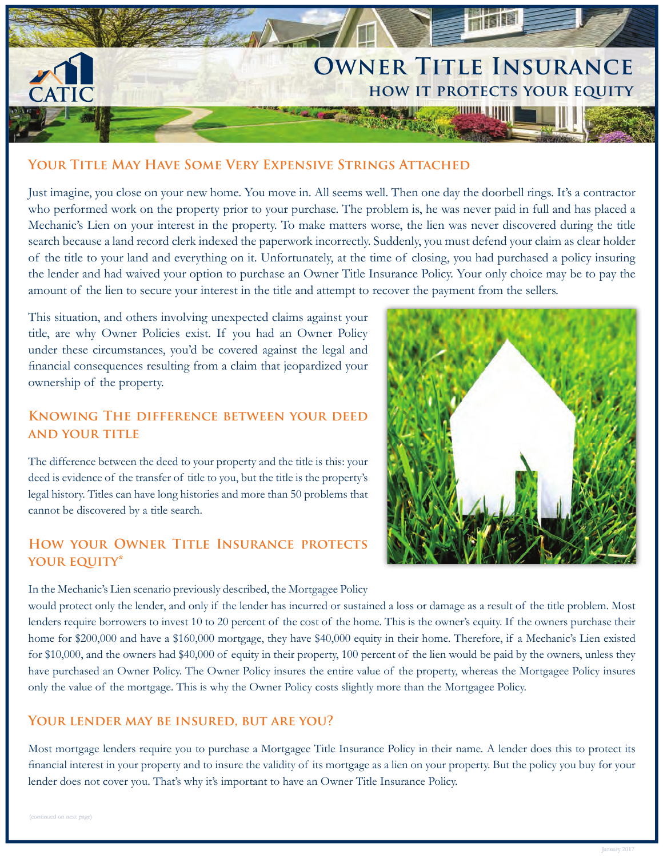

## **YOUR TITLE MAY HAVE SOME VERY EXPENSIVE STRINGS ATTACHED**

Just imagine, you close on your new home. You move in. All seems well. Then one day the doorbell rings. It's a contractor who performed work on the property prior to your purchase. The problem is, he was never paid in full and has placed a Mechanic's Lien on your interest in the property. To make matters worse, the lien was never discovered during the title search because a land record clerk indexed the paperwork incorrectly. Suddenly, you must defend your claim as clear holder of the title to your land and everything on it. Unfortunately, at the time of closing, you had purchased a policy insuring the lender and had waived your option to purchase an Owner Title Insurance Policy. Your only choice may be to pay the amount of the lien to secure your interest in the title and attempt to recover the payment from the sellers.

This situation, and others involving unexpected claims against your title, are why Owner Policies exist. If you had an Owner Policy under these circumstances, you'd be covered against the legal and financial consequences resulting from a claim that jeopardized your ownership of the property.

# **KNOWING THE DIFFERENCE BETWEEN YOUR DEED AND YOUR TITLE**

The difference between the deed to your property and the title is this: your deed is evidence of the transfer of title to you, but the title is the property's legal history. Titles can have long histories and more than 50 problems that cannot be discovered by a title search.

# **HOW YOUR OWNER TITLE INSURANCE PROTECTS** YOUR EQUITY\*

In the Mechanic's Lien scenario previously described, the Mortgagee Policy



would protect only the lender, and only if the lender has incurred or sustained a loss or damage as a result of the title problem. Most lenders require borrowers to invest 10 to 20 percent of the cost of the home. This is the owner's equity. If the owners purchase their home for \$200,000 and have a \$160,000 mortgage, they have \$40,000 equity in their home. Therefore, if a Mechanic's Lien existed for \$10,000, and the owners had \$40,000 of equity in their property, 100 percent of the lien would be paid by the owners, unless they have purchased an Owner Policy. The Owner Policy insures the entire value of the property, whereas the Mortgagee Policy insures only the value of the mortgage. This is why the Owner Policy costs slightly more than the Mortgagee Policy.

## YOUR LENDER MAY BE INSURED, BUT ARE YOU?

Most mortgage lenders require you to purchase a Mortgagee Title Insurance Policy in their name. A lender does this to protect its financial interest in your property and to insure the validity of its mortgage as a lien on your property. But the policy you buy for your lender does not cover you. That's why it's important to have an Owner Title Insurance Policy.